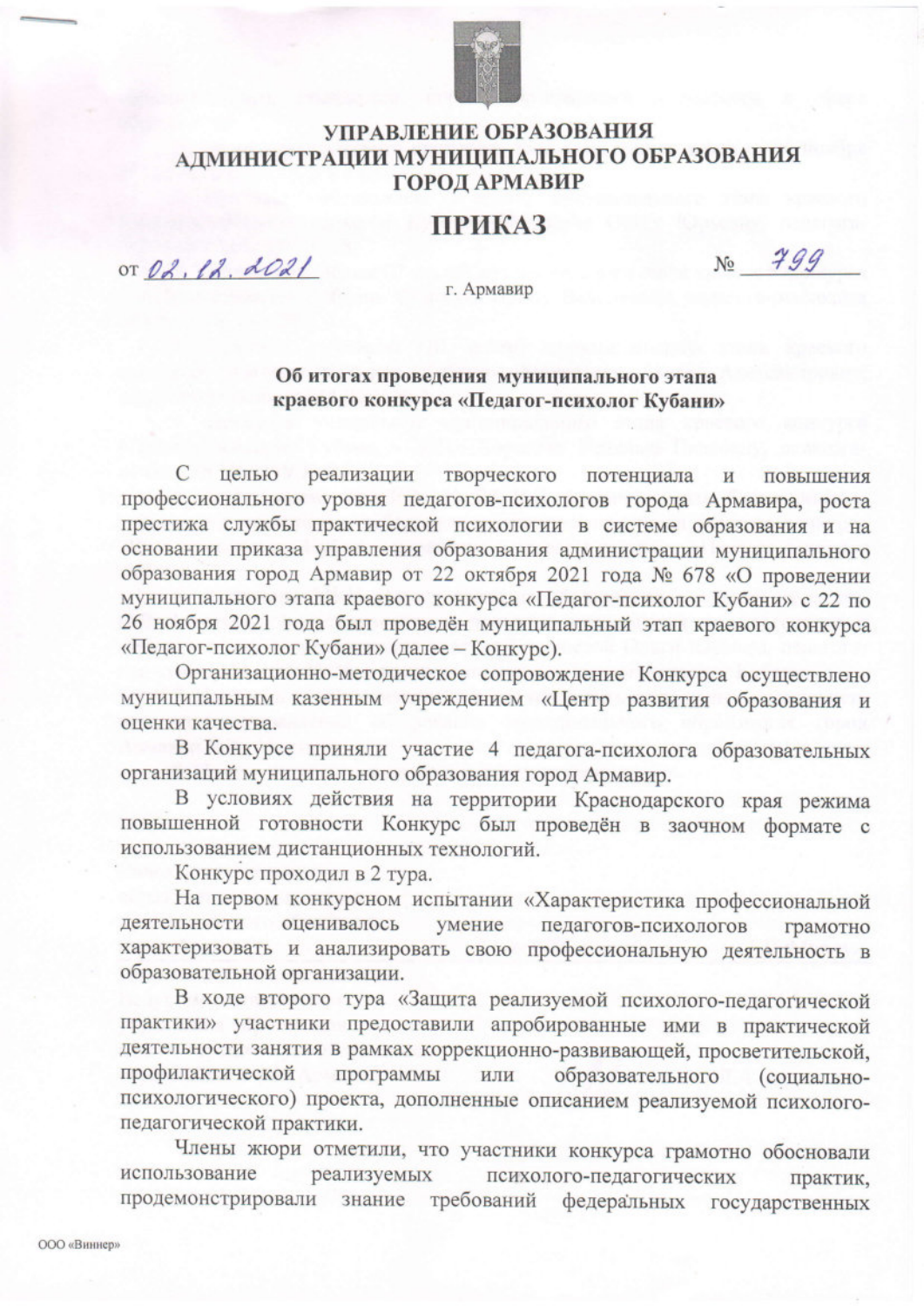

## УПРАВЛЕНИЕ ОБРАЗОВАНИЯ АДМИНИСТРАЦИИ МУНИЦИПАЛЬНОГО ОБРАЗОВАНИЯ **ГОРОД АРМАВИР**

## **ПРИКАЗ**

OT 02, 12, 2021

 $N_0$   $799$ 

г. Армавир

## Об итогах проведения муниципального этапа краевого конкурса «Педагог-психолог Кубани»

целью реализации  $\mathcal{C}$ творческого потенциала И повышения профессионального уровня педагогов-психологов города Армавира, роста престижа службы практической психологии в системе образования и на основании приказа управления образования администрации муниципального образования город Армавир от 22 октября 2021 года № 678 «О проведении муниципального этапа краевого конкурса «Педагог-психолог Кубани» с 22 по 26 ноября 2021 года был проведён муниципальный этап краевого конкурса «Педагог-психолог Кубани» (далее - Конкурс).

Организационно-методическое сопровождение Конкурса осуществлено муниципальным казенным учреждением «Центр развития образования и оценки качества.

В Конкурсе приняли участие 4 педагога-психолога образовательных организаций муниципального образования город Армавир.

В условиях действия на территории Краснодарского края режима повышенной готовности Конкурс был проведён в заочном формате с использованием дистанционных технологий.

Конкурс проходил в 2 тура.

На первом конкурсном испытании «Характеристика профессиональной умение педагогов-психологов деятельности оценивалось грамотно характеризовать и анализировать свою профессиональную деятельность в образовательной организации.

В ходе второго тура «Защита реализуемой психолого-педагогической практики» участники предоставили апробированные ими в практической деятельности занятия в рамках коррекционно-развивающей, просветительской, профилактической программы образовательного (социальноили психологического) проекта, дополненные описанием реализуемой психологопедагогической практики.

Члены жюри отметили, что участники конкурса грамотно обосновали реализуемых использование психолого-педагогических практик, продемонстрировали знание требований федеральных государственных